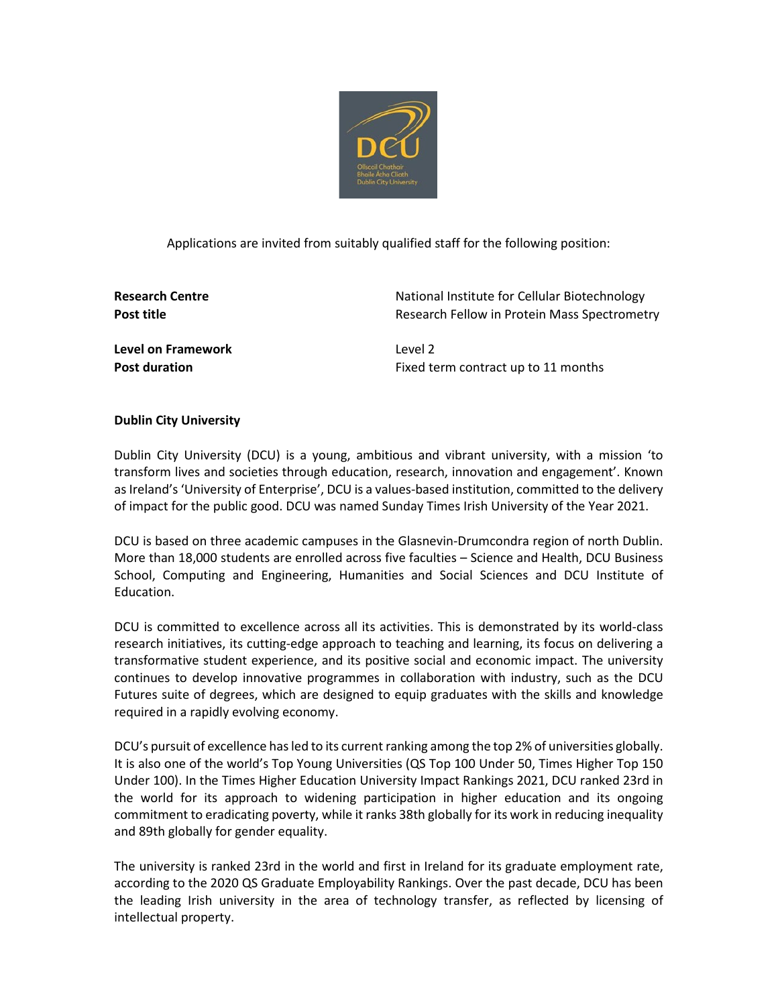

Applications are invited from suitably qualified staff for the following position:

**Research Centre** National Institute for Cellular Biotechnology **Post title Research Fellow in Protein Mass Spectrometry Research Fellow in Protein Mass Spectrometry** 

**Level on Framework** Level 2

**Post duration** Fixed term contract up to 11 months

# **Dublin City University**

Dublin City University (DCU) is a young, ambitious and vibrant university, with a mission 'to transform lives and societies through education, research, innovation and engagement'. Known as Ireland's 'University of Enterprise', DCU is a values-based institution, committed to the delivery of impact for the public good. DCU was named Sunday Times Irish University of the Year 2021.

DCU is based on three academic campuses in the Glasnevin-Drumcondra region of north Dublin. More than 18,000 students are enrolled across five faculties – Science and Health, DCU Business School, Computing and Engineering, Humanities and Social Sciences and DCU Institute of Education.

DCU is committed to excellence across all its activities. This is demonstrated by its world-class research initiatives, its cutting-edge approach to teaching and learning, its focus on delivering a transformative student experience, and its positive social and economic impact. The university continues to develop innovative programmes in collaboration with industry, such as the DCU Futures suite of degrees, which are designed to equip graduates with the skills and knowledge required in a rapidly evolving economy.

DCU's pursuit of excellence has led to its current ranking among the top 2% of universities globally. It is also one of the world's Top Young Universities (QS Top 100 Under 50, Times Higher Top 150 Under 100). In the Times Higher Education University Impact Rankings 2021, DCU ranked 23rd in the world for its approach to widening participation in higher education and its ongoing commitment to eradicating poverty, while it ranks 38th globally for its work in reducing inequality and 89th globally for gender equality.

The university is ranked 23rd in the world and first in Ireland for its graduate employment rate, according to the 2020 QS Graduate Employability Rankings. Over the past decade, DCU has been the leading Irish university in the area of technology transfer, as reflected by licensing of intellectual property.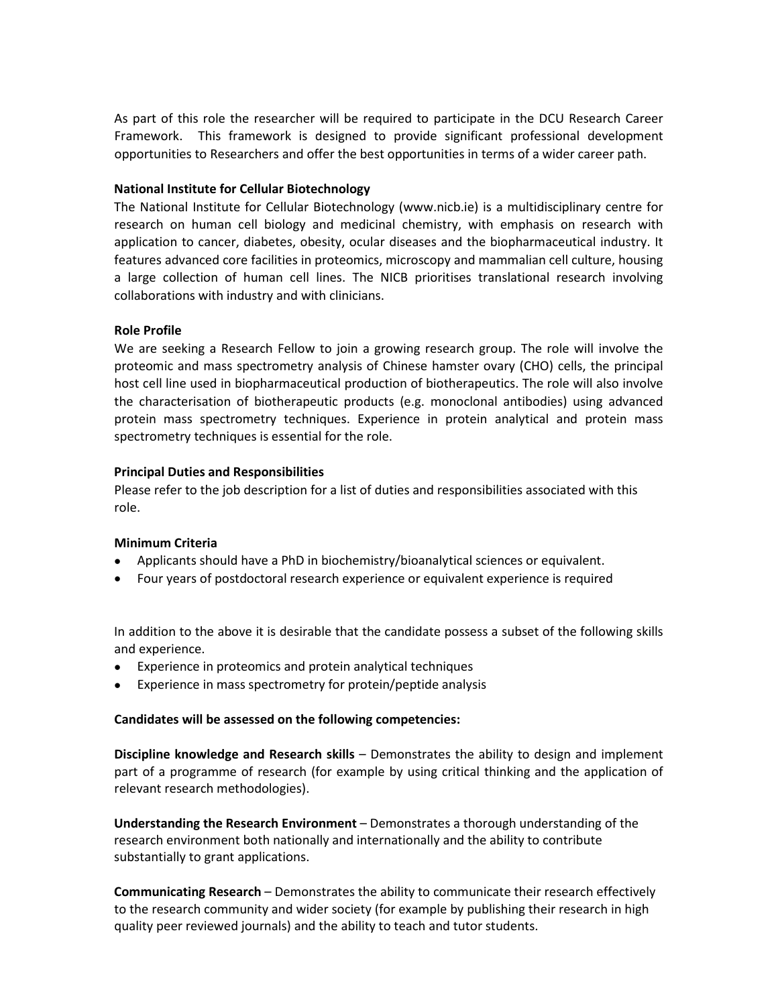As part of this role the researcher will be required to participate in the DCU Research Career Framework. This framework is designed to provide significant professional development opportunities to Researchers and offer the best opportunities in terms of a wider career path.

## **National Institute for Cellular Biotechnology**

The National Institute for Cellular Biotechnology (www.nicb.ie) is a multidisciplinary centre for research on human cell biology and medicinal chemistry, with emphasis on research with application to cancer, diabetes, obesity, ocular diseases and the biopharmaceutical industry. It features advanced core facilities in proteomics, microscopy and mammalian cell culture, housing a large collection of human cell lines. The NICB prioritises translational research involving collaborations with industry and with clinicians.

## **Role Profile**

We are seeking a Research Fellow to join a growing research group. The role will involve the proteomic and mass spectrometry analysis of Chinese hamster ovary (CHO) cells, the principal host cell line used in biopharmaceutical production of biotherapeutics. The role will also involve the characterisation of biotherapeutic products (e.g. monoclonal antibodies) using advanced protein mass spectrometry techniques. Experience in protein analytical and protein mass spectrometry techniques is essential for the role.

## **Principal Duties and Responsibilities**

Please refer to the job description for a list of duties and responsibilities associated with this role.

#### **Minimum Criteria**

- Applicants should have a PhD in biochemistry/bioanalytical sciences or equivalent.
- Four years of postdoctoral research experience or equivalent experience is required

In addition to the above it is desirable that the candidate possess a subset of the following skills and experience.

- Experience in proteomics and protein analytical techniques
- Experience in mass spectrometry for protein/peptide analysis

#### **Candidates will be assessed on the following competencies:**

**Discipline knowledge and Research skills** – Demonstrates the ability to design and implement part of a programme of research (for example by using critical thinking and the application of relevant research methodologies).

**Understanding the Research Environment** – Demonstrates a thorough understanding of the research environment both nationally and internationally and the ability to contribute substantially to grant applications.

**Communicating Research** – Demonstrates the ability to communicate their research effectively to the research community and wider society (for example by publishing their research in high quality peer reviewed journals) and the ability to teach and tutor students.